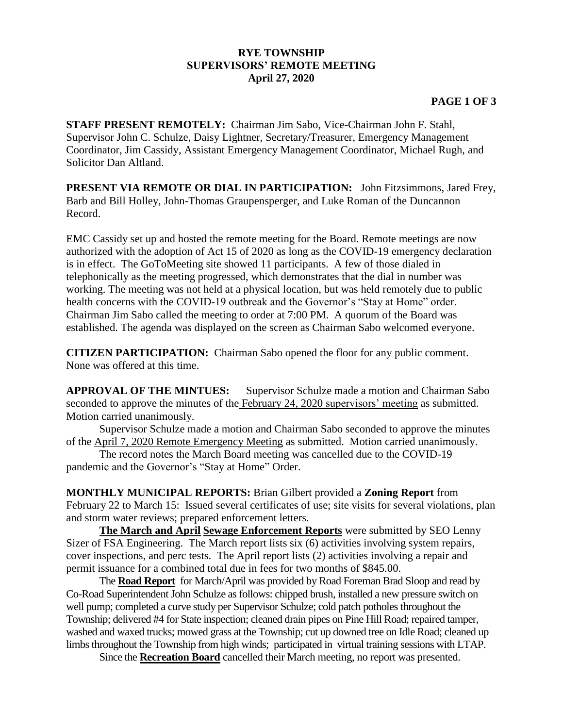## **RYE TOWNSHIP SUPERVISORS' REMOTE MEETING April 27, 2020**

## **PAGE 1 OF 3**

**STAFF PRESENT REMOTELY:** Chairman Jim Sabo, Vice-Chairman John F. Stahl, Supervisor John C. Schulze, Daisy Lightner, Secretary/Treasurer, Emergency Management Coordinator, Jim Cassidy, Assistant Emergency Management Coordinator, Michael Rugh, and Solicitor Dan Altland.

**PRESENT VIA REMOTE OR DIAL IN PARTICIPATION:** John Fitzsimmons, Jared Frey, Barb and Bill Holley, John-Thomas Graupensperger, and Luke Roman of the Duncannon Record.

EMC Cassidy set up and hosted the remote meeting for the Board. Remote meetings are now authorized with the adoption of Act 15 of 2020 as long as the COVID-19 emergency declaration is in effect. The GoToMeeting site showed 11 participants. A few of those dialed in telephonically as the meeting progressed, which demonstrates that the dial in number was working. The meeting was not held at a physical location, but was held remotely due to public health concerns with the COVID-19 outbreak and the Governor's "Stay at Home" order. Chairman Jim Sabo called the meeting to order at 7:00 PM. A quorum of the Board was established. The agenda was displayed on the screen as Chairman Sabo welcomed everyone.

**CITIZEN PARTICIPATION:** Chairman Sabo opened the floor for any public comment. None was offered at this time.

**APPROVAL OF THE MINTUES:** Supervisor Schulze made a motion and Chairman Sabo seconded to approve the minutes of the February 24, 2020 supervisors' meeting as submitted. Motion carried unanimously.

Supervisor Schulze made a motion and Chairman Sabo seconded to approve the minutes of the April 7, 2020 Remote Emergency Meeting as submitted. Motion carried unanimously.

The record notes the March Board meeting was cancelled due to the COVID-19 pandemic and the Governor's "Stay at Home" Order.

**MONTHLY MUNICIPAL REPORTS:** Brian Gilbert provided a **Zoning Report** from February 22 to March 15: Issued several certificates of use; site visits for several violations, plan and storm water reviews; prepared enforcement letters.

**The March and April Sewage Enforcement Reports** were submitted by SEO Lenny Sizer of FSA Engineering. The March report lists six (6) activities involving system repairs, cover inspections, and perc tests. The April report lists (2) activities involving a repair and permit issuance for a combined total due in fees for two months of \$845.00.

The **Road Report** for March/April was provided by Road Foreman Brad Sloop and read by Co-Road Superintendent John Schulze as follows: chipped brush, installed a new pressure switch on well pump; completed a curve study per Supervisor Schulze; cold patch potholes throughout the Township; delivered #4 for State inspection; cleaned drain pipes on Pine Hill Road; repaired tamper, washed and waxed trucks; mowed grass at the Township; cut up downed tree on Idle Road; cleaned up limbs throughout the Township from high winds; participated in virtual training sessions with LTAP.

Since the **Recreation Board** cancelled their March meeting, no report was presented.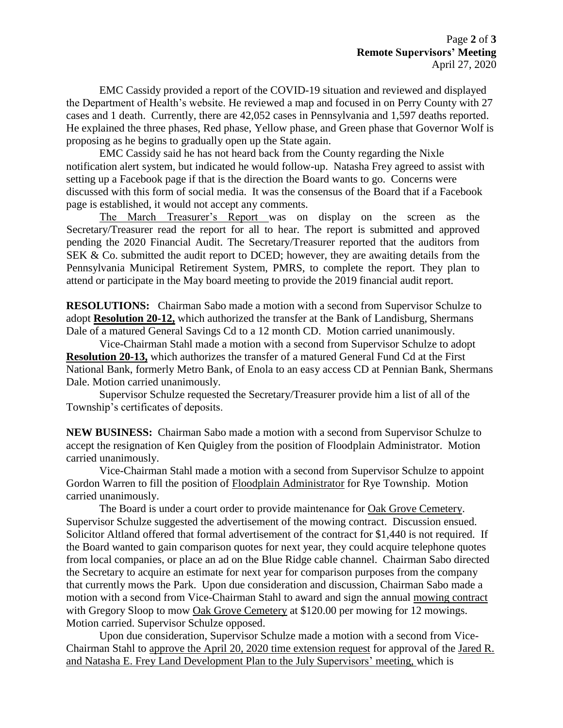EMC Cassidy provided a report of the COVID-19 situation and reviewed and displayed the Department of Health's website. He reviewed a map and focused in on Perry County with 27 cases and 1 death. Currently, there are 42,052 cases in Pennsylvania and 1,597 deaths reported. He explained the three phases, Red phase, Yellow phase, and Green phase that Governor Wolf is proposing as he begins to gradually open up the State again.

EMC Cassidy said he has not heard back from the County regarding the Nixle notification alert system, but indicated he would follow-up. Natasha Frey agreed to assist with setting up a Facebook page if that is the direction the Board wants to go. Concerns were discussed with this form of social media. It was the consensus of the Board that if a Facebook page is established, it would not accept any comments.

The March Treasurer's Report was on display on the screen as the Secretary/Treasurer read the report for all to hear. The report is submitted and approved pending the 2020 Financial Audit. The Secretary/Treasurer reported that the auditors from SEK & Co. submitted the audit report to DCED; however, they are awaiting details from the Pennsylvania Municipal Retirement System, PMRS, to complete the report. They plan to attend or participate in the May board meeting to provide the 2019 financial audit report.

**RESOLUTIONS:** Chairman Sabo made a motion with a second from Supervisor Schulze to adopt **Resolution 20-12,** which authorized the transfer at the Bank of Landisburg, Shermans Dale of a matured General Savings Cd to a 12 month CD. Motion carried unanimously.

Vice-Chairman Stahl made a motion with a second from Supervisor Schulze to adopt **Resolution 20-13,** which authorizes the transfer of a matured General Fund Cd at the First National Bank, formerly Metro Bank, of Enola to an easy access CD at Pennian Bank, Shermans Dale. Motion carried unanimously.

Supervisor Schulze requested the Secretary/Treasurer provide him a list of all of the Township's certificates of deposits.

**NEW BUSINESS:** Chairman Sabo made a motion with a second from Supervisor Schulze to accept the resignation of Ken Quigley from the position of Floodplain Administrator. Motion carried unanimously.

Vice-Chairman Stahl made a motion with a second from Supervisor Schulze to appoint Gordon Warren to fill the position of Floodplain Administrator for Rye Township. Motion carried unanimously.

The Board is under a court order to provide maintenance for Oak Grove Cemetery. Supervisor Schulze suggested the advertisement of the mowing contract. Discussion ensued. Solicitor Altland offered that formal advertisement of the contract for \$1,440 is not required. If the Board wanted to gain comparison quotes for next year, they could acquire telephone quotes from local companies, or place an ad on the Blue Ridge cable channel. Chairman Sabo directed the Secretary to acquire an estimate for next year for comparison purposes from the company that currently mows the Park. Upon due consideration and discussion, Chairman Sabo made a motion with a second from Vice-Chairman Stahl to award and sign the annual mowing contract with Gregory Sloop to mow Oak Grove Cemetery at \$120.00 per mowing for 12 mowings. Motion carried. Supervisor Schulze opposed.

Upon due consideration, Supervisor Schulze made a motion with a second from Vice-Chairman Stahl to approve the April 20, 2020 time extension request for approval of the Jared R. and Natasha E. Frey Land Development Plan to the July Supervisors' meeting, which is